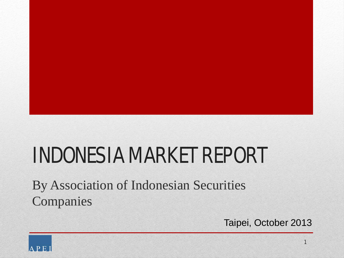# INDONESIA MARKET REPORT

By Association of Indonesian Securities Companies

Taipei, October 2013

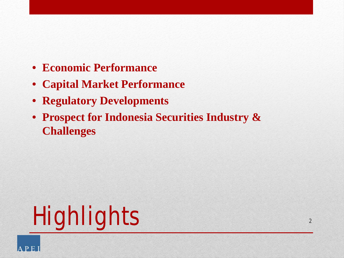- **Economic Performance**
- **Capital Market Performance**
- **Regulatory Developments**
- **Prospect for Indonesia Securities Industry & Challenges**



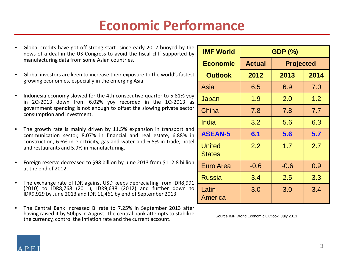| Global credits have got off strong start since early 2012 buoyed by the<br>news of a deal in the US Congress to avoid the fiscal cliff supported by | <b>IMF World</b>               |               | <b>GDP (%)</b>   |      |  |  |
|-----------------------------------------------------------------------------------------------------------------------------------------------------|--------------------------------|---------------|------------------|------|--|--|
| manufacturing data from some Asian countries.                                                                                                       | <b>Economic</b>                | <b>Actual</b> | <b>Projected</b> |      |  |  |
| Global investors are keen to increase their exposure to the world's fastest<br>growing economies, especially in the emerging Asia                   | <b>Outlook</b>                 | 2012          | 2013             | 2014 |  |  |
|                                                                                                                                                     | Asia                           | 6.5           | 6.9              | 7.0  |  |  |
| Indonesia economy slowed for the 4th consecutive quarter to 5.81% yoy<br>in $2Q-2013$ down from $6.02\%$ yoy recorded in the $1Q-2013$ as           | Japan                          | 1.9           | 2.0              | 1.2  |  |  |
| government spending is not enough to offset the slowing private sector<br>consumption and investment.                                               | China                          | 7.8           | 7.8              | 7.7  |  |  |
|                                                                                                                                                     | India                          | 3.2           | 5.6              | 6.3  |  |  |
| The growth rate is mainly driven by 11.5% expansion in transport and<br>communication sector, 8.07% in financial and real estate, 6.88% in          | <b>ASEAN-5</b>                 | 6.1           | 5.6              | 5.7  |  |  |
| construction, 6.6% in electricity, gas and water and 6.5% in trade, hotel<br>and restaurants and 5.9% in manufacturing.                             | <b>United</b><br><b>States</b> | 2.2           | 1.7              | 2.7  |  |  |
| Foreign reserve decreased to \$98 billion by June 2013 from \$112.8 billion<br>at the end of 2012.                                                  | Euro Area                      | $-0.6$        | $-0.6$           | 0.9  |  |  |
| The exchange rate of IDR against USD keeps depreciating from IDR8,991                                                                               | <b>Russia</b>                  | 3.4           | 2.5              | 3.3  |  |  |
| (2010) to IDR8,768 (2011), IDR9,638 (2012) and further down to<br>IDR9,929 by June 2013 and IDR 11,461 by end of September 2013                     | Latin<br>America               | 3.0           | 3.0              | 3.4  |  |  |
| The Central Bank increased BI rate to 7.25% in September 2013 after                                                                                 |                                |               |                  |      |  |  |

- Global investors are keen to increase their exposure to the world's fastest growing economies, especially in the emerging Asia
- Indonesia economy slowed for the 4th consecutive quarter to 5.81% yoy in 2Q-2013 down from 6.02% yoy recorded in the 1Q-2013 as government spending is not enough to offset the slowing private sector consu
- The growth rate is mainly driven by 11.5% expansion in transport and communication sector, 8.07% in financial and real estate, 6.88% in construction, 6.6% in electricity, gas and water and 6.5% in trade, hotel and restaurants and 5.9% in manufacturing.
- Foreign reserve decreased to \$98 billion by June 2013 from \$112.8 billion at the
- The exchange rate of IDR against USD keeps depreciating from IDR8,991 (2010) to IDR8,768 (2011), IDR9,638 (2012) and further down to IDR9,929 by June 2013 and IDR 11,461 by end of September 2013
- The Central Bank increased BI rate to 7.25% in September 2013 after having raised it by 50bps in August. The central bank attempts to stabilize the currency, control the inflation rate and the current account.

Source IMF World Economic Outlook, July 2013

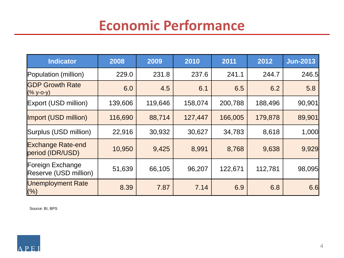| <b>Indicator</b>                             | 2008    | 2009    | 2010    | 2011    | 2012    | <b>Jun-2013</b> |
|----------------------------------------------|---------|---------|---------|---------|---------|-----------------|
| Population (million)                         | 229.0   | 231.8   | 237.6   | 241.1   | 244.7   | 246.5           |
| <b>GDP Growth Rate</b><br>$(\%$ y-o-y)       | 6.0     | 4.5     | 6.1     | 6.5     | 6.2     | 5.8             |
| Export (USD million)                         | 139,606 | 119,646 | 158,074 | 200,788 | 188,496 | 90,901          |
| Import (USD million)                         | 116,690 | 88,714  | 127,447 | 166,005 | 179,878 | 89,901          |
| Surplus (USD million)                        | 22,916  | 30,932  | 30,627  | 34,783  | 8,618   | 1,000           |
| <b>Exchange Rate-end</b><br>period (IDR/USD) | 10,950  | 9,425   | 8,991   | 8,768   | 9,638   | 9,929           |
| Foreign Exchange<br>Reserve (USD million)    | 51,639  | 66,105  | 96,207  | 122,671 | 112,781 | 98,095          |
| <b>Unemployment Rate</b><br>(%)              | 8.39    | 7.87    | 7.14    | 6.9     | 6.8     | 6.6             |

Source: BI, BPS

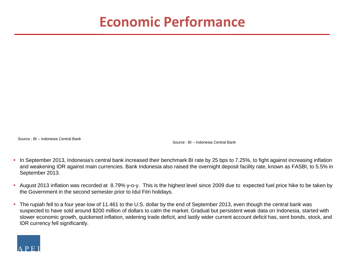Source : BI – Indonesia Central Bank

Source : BI – Indonesia Central Bank

- In September 2013, Indonesia's central bank increased their benchmark BI rate by 25 bps to 7.25%, to fight against increasing inflation and weakening IDR against main currencies. Bank Indonesia also raised the overnight deposit facility rate, known as FASBI, to 5.5% in September 2013.
- August 2013 inflation was recorded at 8.79% y-o-y. This is the highest level since 2009 due to expected fuel price hike to be taken by the Government in the second semester prior to Idul Fitri holidays.
- The rupiah fell to a four year-low of 11.461 to the U.S. dollar by the end of September 2013, even though the central bank was suspected to have sold around \$200 million of dollars to calm the market. Gradual but persistent weak data on Indonesia, started with slower economic growth, quickened inflation, widening trade deficit, and lastly wider current account deficit has, sent bonds, stock, and IDR currency fell significantly.

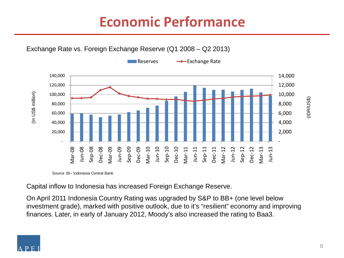

Source :BI– Indonesia Central Bank

Capital inflow to Indonesia has increased Foreign Exchange Reserve.

On April 2011 Indonesia Country Rating was upgraded by S&P to BB+ (one level below investment grade), marked with positive outlook, due to it's "resilient" economy and improving finances. Later, in early of January 2012, Moody's also increased the rating to Baa3.

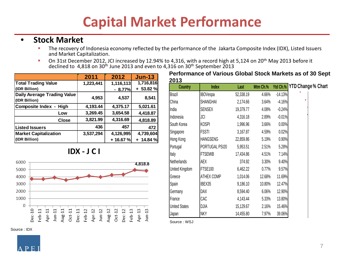#### • **Stock Market**

- The recovery of Indonesia economy reflected by the performance of the Jakarta Composite Index (IDX), Listed Issuers and Market Capitalization.
- On 31st December 2012, JCI increased by 12.94% to 4,316, with a record high at 5,124 on 20<sup>th</sup> May 2013 before it declined to 4,818 on 30<sup>th</sup> June 2013 and even to 4,316 on 30<sup>th</sup> September 2013

|                                                     | 2011      | 2012      | <b>Jun-13</b> |
|-----------------------------------------------------|-----------|-----------|---------------|
| <b>Total Trading Value</b>                          | 1,223,441 | 1,116,113 | 1,716,816     |
| (IDR Billion)                                       |           | $-8.77%$  | $+53.82%$     |
| <b>Daily Average Trading Value</b><br>(IDR Billion) | 4,953     | 4,537     | 8,541         |
| <b>Composite Index - High</b>                       | 4,193.44  | 4,375.17  | 5,021.61      |
| Low                                                 | 3,269.45  | 3,654.58  | 4,418.87      |
| <b>Close</b>                                        | 3,821.99  | 4,316.69  | 4,818.89      |
| <b>Listed Issuers</b>                               | 436       | 457       | 472           |
| <b>Market Capitalization</b>                        | 3,537,294 | 4,126,995 | 4,739,604     |
| (IDR Billion)                                       |           | + 16.67 % | $+ 14.84 %$   |





| LV I J<br>Country    | <b>Index</b>    | Last      | Mtm Ch.% |           | Ytd Ch.% YTD Change % Chart |  |
|----------------------|-----------------|-----------|----------|-----------|-----------------------------|--|
| <b>Brazil</b>        | <b>IBOVespa</b> | 52,338.19 | 4.66%    | $-14.13%$ |                             |  |
| China                | SHANGHAI        | 2,174.66  | 3.64%    | $-4.16%$  |                             |  |
| India                | <b>SENSEX</b>   | 19,379.77 | 4.08%    | $-0.24%$  |                             |  |
| Indonesia            | JCI             | 4,316.18  | 2.89%    | $-0.01%$  |                             |  |
| South Korea          | <b>KOSPI</b>    | 1,996.96  | 3.66%    | 0.00%     |                             |  |
| Singapore            | <b>FSSTI</b>    | 3,167.87  | 4.59%    | 0.02%     |                             |  |
| Hong Kong            | <b>HANGSENG</b> | 22,859.86 | 5.19%    | 0.90%     |                             |  |
| Portugal             | PORTUGAL PSI20  | 5,953.51  | 2.51%    | 5.28%     |                             |  |
| Italy                | <b>FTSEMIB</b>  | 17,434.86 | 4.51%    | 7.14%     |                             |  |
| <b>Netherlands</b>   | AEX             | 374.92    | 3.30%    | 9.40%     |                             |  |
| United Kingdom       | FTSE100         | 6,462.22  | 0.77%    | 9.57%     |                             |  |
| Greece               | ATHEX COMP      | 1,014.06  | 12.68%   | 11.69%    |                             |  |
| Spain                | IBEX35          | 9,186.10  | 10.80%   | 12.47%    |                             |  |
| Germany              | DAX             | 8,594.40  | 6.06%    | 12.90%    |                             |  |
| France               | CAC             | 4,143.44  | 5.33%    | 13.80%    |                             |  |
| <b>United States</b> | DJIA            | 15,129.67 | 2.16%    | 15.46%    |                             |  |
| Japan                | <b>NKY</b>      | 14,455.80 | 7.97%    | 39.06%    |                             |  |

Source : WSJ

Source : IDX



**Performance of Various Global Stock Markets as of 30 Sept 2013**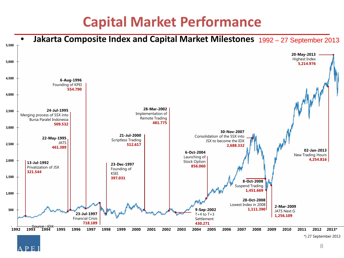

F.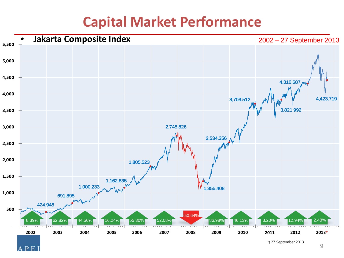

 $\mathbf{E}$ 

A р \*) 27 September 2013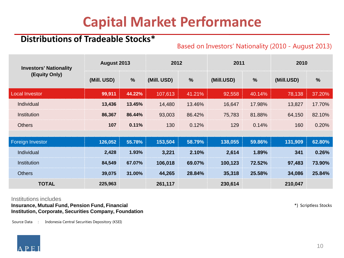#### **Distributions of Tradeable Stocks\***

#### Based on Investors' Nationality (2010 - August 2013)

| <b>Investors' Nationality</b> | August 2013 |               | 2012        |               | 2011       |               | 2010       |               |
|-------------------------------|-------------|---------------|-------------|---------------|------------|---------------|------------|---------------|
| (Equity Only)                 | (Mill. USD) | $\frac{0}{0}$ | (Mill. USD) | $\frac{0}{0}$ | (Mill.USD) | $\frac{0}{0}$ | (Mill.USD) | $\frac{0}{0}$ |
| <b>Local Investor</b>         | 99,911      | 44.22%        | 107,613     | 41.21%        | 92,558     | 40.14%        | 78,138     | 37.20%        |
| Individual                    | 13,436      | 13.45%        | 14,480      | 13.46%        | 16,647     | 17.98%        | 13,827     | 17.70%        |
| Institution                   | 86,367      | 86.44%        | 93,003      | 86.42%        | 75,783     | 81.88%        | 64,150     | 82.10%        |
| <b>Others</b>                 | 107         | 0.11%         | 130         | 0.12%         | 129        | 0.14%         | 160        | 0.20%         |
|                               |             |               |             |               |            |               |            |               |
| Foreign Investor              | 126,052     | 55.78%        | 153,504     | 58.79%        | 138,055    | 59.86%        | 131,909    | 62.80%        |
| Individual                    | 2,428       | 1.93%         | 3,221       | 2.10%         | 2,614      | 1.89%         | 341        | 0.26%         |
| Institution                   | 84,549      | 67.07%        | 106,018     | 69.07%        | 100,123    | 72.52%        | 97,483     | 73.90%        |
| <b>Others</b>                 | 39,075      | 31.00%        | 44,265      | 28.84%        | 35,318     | 25.58%        | 34,086     | 25.84%        |
| <b>TOTAL</b>                  | 225,963     |               | 261,117     |               | 230,614    |               | 210,047    |               |

#### Institutions includes

**Insurance, Mutual Fund, Pension Fund, Financial Institution, Corporate, Securities Company, Foundation** \*) Scriptless Stocks

Source Data : Indonesia Central Securities Depository (KSEI)

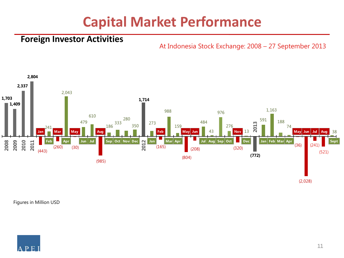#### **Foreign Investor Activities**

At Indonesia Stock Exchange: 2008 – 27 September 2013



Figures in Million USD

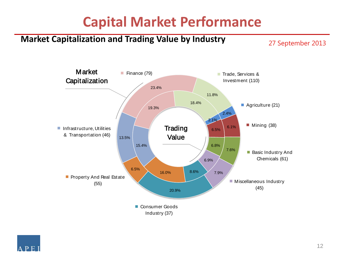### **Market Capitalization and Trading Value by Industry**

27 September 2013



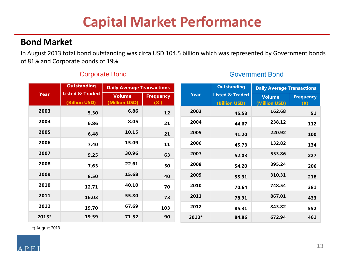#### **Bond Market**

In August 2013 total bond outstanding was circa USD 104.5 billion which was represented by Government bonds of 81% and Corporate bonds of 19%.

|       | <b>Outstanding</b>                          | <b>Daily Average Transactions</b>                                        |                                             | <b>Outstanding</b>             |                         | <b>Daily Average Transactions</b> |        |     |
|-------|---------------------------------------------|--------------------------------------------------------------------------|---------------------------------------------|--------------------------------|-------------------------|-----------------------------------|--------|-----|
| Year  | <b>Listed &amp; Traded</b><br>(Billion USD) | <b>Year</b><br><b>Volume</b><br><b>Frequency</b><br>(Million USD)<br>(X) | <b>Listed &amp; Traded</b><br>(Billion USD) | <b>Volume</b><br>(Million USD) | <b>Frequency</b><br>(X) |                                   |        |     |
| 2003  | 5.30                                        | 6.86                                                                     | 12                                          |                                | 2003                    | 45.53                             | 162.68 | 51  |
| 2004  | 6.86                                        | 8.05                                                                     | 21                                          |                                | 2004                    | 44.67                             | 238.12 | 112 |
| 2005  | 6.48                                        | 10.15                                                                    | 21                                          |                                | 2005                    | 41.20                             | 220.92 | 100 |
| 2006  | 7.40                                        | 15.09                                                                    | 11                                          |                                | 2006                    | 45.73                             | 132.82 | 134 |
| 2007  | 9.25                                        | 30.96                                                                    | 63                                          |                                | 2007                    | 52.03                             | 553.86 | 227 |
| 2008  | 7.63                                        | 22.61                                                                    | 50                                          |                                | 2008                    | 54.20                             | 395.24 | 206 |
| 2009  | 8.50                                        | 15.68                                                                    | 40                                          |                                | 2009                    | 55.31                             | 310.31 | 218 |
| 2010  | 12.71                                       | 40.10                                                                    | 70                                          |                                | 2010                    | 70.64                             | 748.54 | 381 |
| 2011  | 16.03                                       | 55.80                                                                    | 73                                          |                                | 2011                    | 78.91                             | 867.01 | 433 |
| 2012  | 19.70                                       | 67.69                                                                    | 103                                         |                                | 2012                    | 85.31                             | 843.82 | 552 |
| 2013* | 19.59                                       | 71.52                                                                    | 90                                          |                                | 2013*                   | 84.86                             | 672.94 | 461 |

#### **Corporate Bond Government Bond Government Bond**

\*) August 2013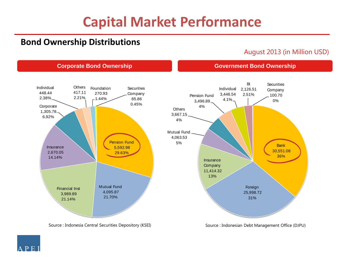**Corporate Bond Ownership Government Bond Ownership** 

#### **Bond Ownership Distributions**

August 2013 (in Million USD)



Source : Indonesia Central Securities Depository (KSEI)

Source : Indonesian Debt Management Office (DJPU)

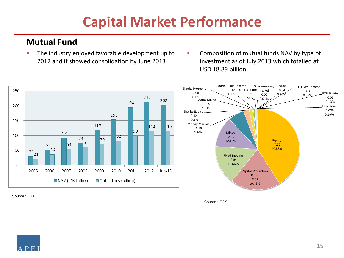#### **Mutual Fund**

- **The industry enjoyed favorable development up to** 2012 and it showed consolidation by June 2013
- **Composition of mutual funds NAV by type of** investment as of July 2013 which totalled at USD 18.89 billion



Source : OJK

Source : OJK

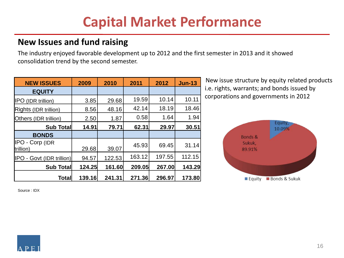#### **New Issues and fund raising**

The industry enjoyed favorable development up to 2012 and the first semester in 2013 and it showed consolidation trend by the second semester.

| <b>NEW ISSUES</b>                       | 2009   | 2010   | 2011   | 2012   | <b>Jun-13</b> |
|-----------------------------------------|--------|--------|--------|--------|---------------|
| <b>EQUITY</b>                           |        |        |        |        |               |
| <b>IPO</b> (IDR trillion)               | 3.85   | 29.68  | 19.59  | 10.14  | 10.11         |
| Rights (IDR trillion)                   | 8.56   | 48.16  | 42.14  | 18.19  | 18.46         |
| Others (IDR trillion)                   | 2.50   | 1.87   | 0.58   | 1.64   | 1.94          |
| Sub Total                               | 14.91  | 79.71  | 62.31  | 29.97  | 30.51         |
| <b>BONDS</b>                            |        |        |        |        |               |
| $\parallel$ PO - Corp (IDR<br>trillion) | 29.68  | 39.07  | 45.93  | 69.45  | 31.14         |
| <b>IPO - Govt (IDR trillion)</b>        | 94.57  | 122.53 | 163.12 | 197.55 | 112.15        |
| <b>Sub Total</b>                        | 124.25 | 161.60 | 209.05 | 267.00 | 143.29        |
| Total                                   | 139.16 | 241.31 | 271.36 | 296.97 | 173.80        |

New issue structure by equity related products i.e. rights, warrants; and bonds issued by corporations and governments in 2012



Source : IDX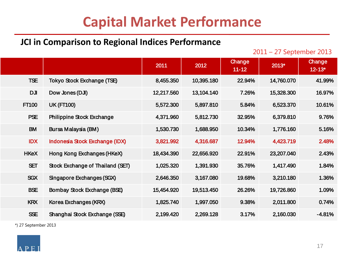#### **JCI in Comparison to Regional Indices Performance**

2011 – 27 September 2013

|              |                                  | 2011       | 2012       | Change<br>$11 - 12$ | 2013*      | Change<br>$12 - 13*$ |
|--------------|----------------------------------|------------|------------|---------------------|------------|----------------------|
| <b>TSE</b>   | Tokyo Stock Exchange (TSE)       | 8,455.350  | 10,395.180 | 22.94%              | 14,760.070 | 41.99%               |
| <b>DJI</b>   | Dow Jones (DJI)                  | 12,217.560 | 13,104.140 | 7.26%               | 15,328.300 | 16.97%               |
| <b>FT100</b> | <b>UK (FT100)</b>                | 5,572.300  | 5,897.810  | 5.84%               | 6,523.370  | 10.61%               |
| <b>PSE</b>   | Philippine Stock Exchange        | 4,371.960  | 5,812.730  | 32.95%              | 6,379.810  | 9.76%                |
| <b>BM</b>    | Bursa Malaysia (BM)              | 1,530.730  | 1,688.950  | 10.34%              | 1,776.160  | 5.16%                |
| <b>IDX</b>   | Indonesia Stock Exchange (IDX)   | 3,821.992  | 4,316.687  | 12.94%              | 4,423.719  | 2.48%                |
| <b>HKeX</b>  | Hong Kong Exchanges (HKeX)       | 18,434.390 | 22,656.920 | 22.91%              | 23,207.040 | 2.43%                |
| <b>SET</b>   | Stock Exchange of Thailand (SET) | 1,025.320  | 1,391.930  | 35.76%              | 1,417.490  | 1.84%                |
| <b>SGX</b>   | Singapore Exchanges (SGX)        | 2,646.350  | 3,167.080  | 19.68%              | 3,210.180  | 1.36%                |
| <b>BSE</b>   | Bombay Stock Exchange (BSE)      | 15,454.920 | 19,513.450 | 26.26%              | 19,726.860 | 1.09%                |
| <b>KRX</b>   | Korea Exchanges (KRX)            | 1,825.740  | 1,997.050  | 9.38%               | 2,011.800  | 0.74%                |
| <b>SSE</b>   | Shanghai Stock Exchange (SSE)    | 2,199.420  | 2,269.128  | 3.17%               | 2,160.030  | $-4.81%$             |
|              |                                  |            |            |                     |            |                      |

\*) 27 September 2013

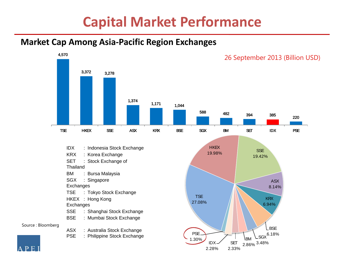#### **Market Cap Among Asia-Pacific Region Exchanges**

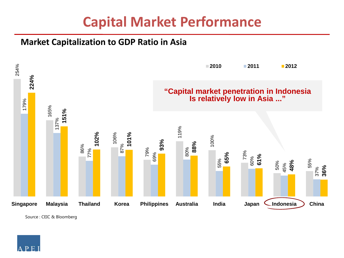#### **Market Capitalization to GDP Ratio in Asia**



Source : CEIC & Bloomberg

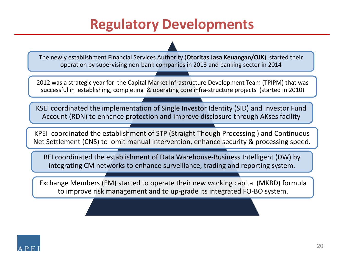### **Regulatory Developments**

The newly establishment Financial Services Authority (**OtoritasJasa Keuangan/OJK**) started their operation by supervising non-bank companies in 2013 and banking sector in 2014

2012 was a strategic year for the Capital Market Infrastructure Development Team (TPIPM) that was successful in establishing, completing & operating core infra-structure projects (started in 2010)

KSEI coordinated the implementation of Single Investor Identity (SID) and Investor Fund Account (RDN) to enhance protection and improve disclosure through AKses facility

KPEI coordinated the establishment of STP (Straight Though Processing ) and Continuous Net Settlement (CNS) to omit manual intervention, enhance security & processing speed.

BEI coordinated the establishment of Data Warehouse-Business Intelligent (DW) by integrating CM networks to enhance surveillance, trading and reporting system.

Exchange Members (EM) started to operate their new working capital (MKBD) formula to improve risk management and to up-grade its integrated FO-BO system.

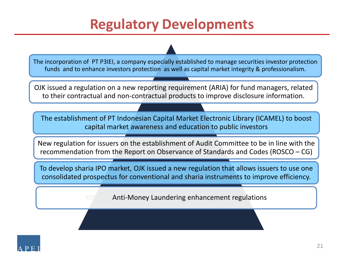### **Regulatory Developments**

The incorporation of PT P3IEI, a company especially established to manage securities investor protection funds and to enhance investors protection as well as capital market integrity & professionalism.

OJK issued a regulation on a new reporting requirement (ARIA) for fund managers, related to their contractual and non-contractual products to improve disclosure information.

The establishment of PT Indonesian Capital Market Electronic Library (ICAMEL) to boost capital market awareness and education to public investors

New regulation for issuers on the establishment of Audit Committee to be in line with the recommendation from the Report on Observance of Standards and Codes (ROSCO – CG)

To develop sharia IPO market, OJK issued a new regulation that allows issuers to use one consolidated prospectus for conventional and sharia instruments to improve efficiency.

Anti-Money Laundering enhancement regulations

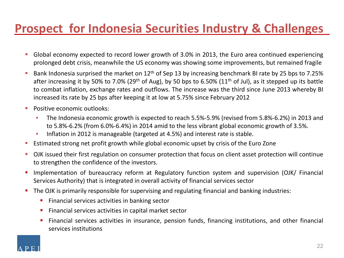### **Prospect for Indonesia Securities Industry & Challenges**

- Global economy expected to record lower growth of 3.0% in 2013, the Euro area continued experiencing prolonged debt crisis, meanwhile the US economy was showing some improvements, but remained fragile
- Bank Indonesia surprised the market on  $12<sup>th</sup>$  of Sep 13 by increasing benchmark BI rate by 25 bps to 7.25% after increasing it by 50% to 7.0% (29<sup>th</sup> of Aug), by 50 bps to 6.50% (11<sup>th</sup> of Jul), as it stepped up its battle to combat inflation, exchange rates and outflows. The increase was the third since June 2013 whereby BI increased its rate by 25 bps after keeping it at low at 5.75% since February 2012
- **Positive economic outlooks:** 
	- The Indonesia economic growth is expected to reach 5.5%-5.9% (revised from 5.8%-6.2%) in 2013 and to 5.8%-6.2% (from 6.0%-6.4%) in 2014 amid to the less vibrant global economic growth of 3.5%.
	- Inflation in 2012 is manageable (targeted at 4.5%) and interest rate is stable.
- Estimated strong net profit growth while global economic upset by crisis of the Euro Zone
- OJK issued their first regulation on consumer protection that focus on client asset protection will continue to strengthen the confidence of the investors.
- **Inplementation of bureaucracy reform at Regulatory function system and supervision (OJK/ Financial** Services Authority) that is integrated in overall activity of financial services sector
- **The OJK is primarily responsible for supervising and regulating financial and banking industries:** 
	- Financial services activities in banking sector
	- **Financial services activities in capital market sector**
	- Financial services activities in insurance, pension funds, financing institutions, and other financial services institutions